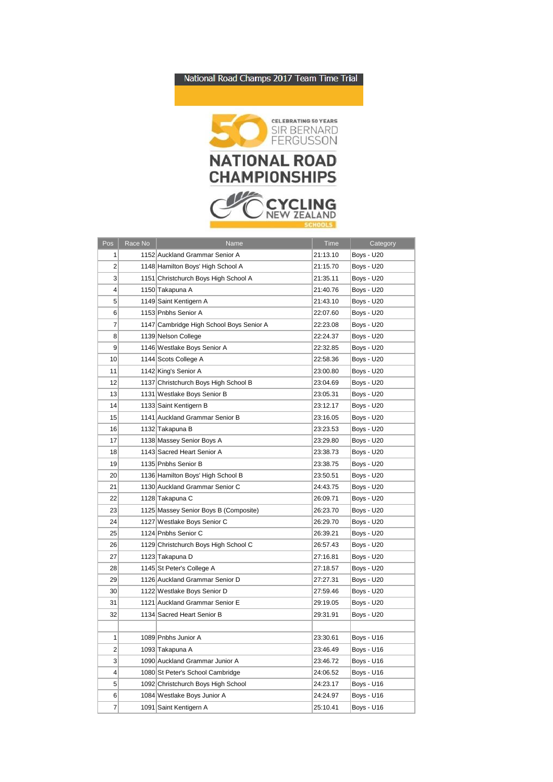## National Road Champs 2017 Team Time Trial



| Pos            | Race No | Name                                     | Time     | Category          |
|----------------|---------|------------------------------------------|----------|-------------------|
| 1              |         | 1152 Auckland Grammar Senior A           | 21:13.10 | Boys - U20        |
| 2              |         | 1148 Hamilton Boys' High School A        | 21:15.70 | <b>Boys - U20</b> |
| 3              |         | 1151 Christchurch Boys High School A     | 21:35.11 | Boys - U20        |
| 4              |         | 1150 Takapuna A                          | 21:40.76 | <b>Boys - U20</b> |
| 5              |         | 1149 Saint Kentigern A                   | 21:43.10 | Boys - U20        |
| 6              |         | 1153 Pnbhs Senior A                      | 22:07.60 | Boys - U20        |
| $\overline{7}$ |         | 1147 Cambridge High School Boys Senior A | 22:23.08 | Boys - U20        |
| 8              |         | 1139 Nelson College                      | 22:24.37 | Boys - U20        |
| 9              |         | 1146 Westlake Boys Senior A              | 22:32.85 | <b>Boys - U20</b> |
| 10             |         | 1144 Scots College A                     | 22:58.36 | Boys - U20        |
| 11             |         | 1142 King's Senior A                     | 23:00.80 | Boys - U20        |
| 12             |         | 1137 Christchurch Boys High School B     | 23:04.69 | Boys - U20        |
| 13             |         | 1131 Westlake Boys Senior B              | 23:05.31 | Boys - U20        |
| 14             |         | 1133 Saint Kentigern B                   | 23:12.17 | Boys - U20        |
| 15             |         | 1141 Auckland Grammar Senior B           | 23:16.05 | <b>Boys - U20</b> |
| 16             |         | 1132 Takapuna B                          | 23:23.53 | Boys - U20        |
| 17             |         | 1138 Massey Senior Boys A                | 23:29.80 | <b>Boys - U20</b> |
| 18             |         | 1143 Sacred Heart Senior A               | 23:38.73 | Boys - U20        |
| 19             |         | 1135 Pnbhs Senior B                      | 23:38.75 | Boys - U20        |
| 20             |         | 1136 Hamilton Boys' High School B        | 23:50.51 | Boys - U20        |
| 21             |         | 1130 Auckland Grammar Senior C           | 24:43.75 | Boys - U20        |
| 22             |         | 1128 Takapuna C                          | 26:09.71 | Boys - U20        |
| 23             |         | 1125 Massey Senior Boys B (Composite)    | 26:23.70 | Boys - U20        |
| 24             |         | 1127 Westlake Boys Senior C              | 26:29.70 | Boys - U20        |
| 25             |         | 1124 Pnbhs Senior C                      | 26:39.21 | Boys - U20        |
| 26             |         | 1129 Christchurch Boys High School C     | 26:57.43 | Boys - U20        |
| 27             |         | 1123 Takapuna D                          | 27:16.81 | Boys - U20        |
| 28             |         | 1145 St Peter's College A                | 27:18.57 | Boys - U20        |
| 29             |         | 1126 Auckland Grammar Senior D           | 27:27.31 | Boys - U20        |
| 30             |         | 1122 Westlake Boys Senior D              | 27:59.46 | Boys - U20        |
| 31             |         | 1121 Auckland Grammar Senior E           | 29:19.05 | <b>Boys - U20</b> |
| 32             |         | 1134 Sacred Heart Senior B               | 29:31.91 | Boys - U20        |
|                |         |                                          |          |                   |
| 1              |         | 1089 Pnbhs Junior A                      | 23:30.61 | Boys - U16        |
| 2              |         | 1093 Takapuna A                          | 23:46.49 | Boys - U16        |
| 3              |         | 1090 Auckland Grammar Junior A           | 23:46.72 | Boys - U16        |
| 4              |         | 1080 St Peter's School Cambridge         | 24:06.52 | Boys - U16        |
| 5              |         | 1092 Christchurch Boys High School       | 24:23.17 | Boys - U16        |
| 6              |         | 1084 Westlake Boys Junior A              | 24:24.97 | Boys - U16        |
| 7              |         | 1091 Saint Kentigern A                   | 25:10.41 | <b>Bovs - U16</b> |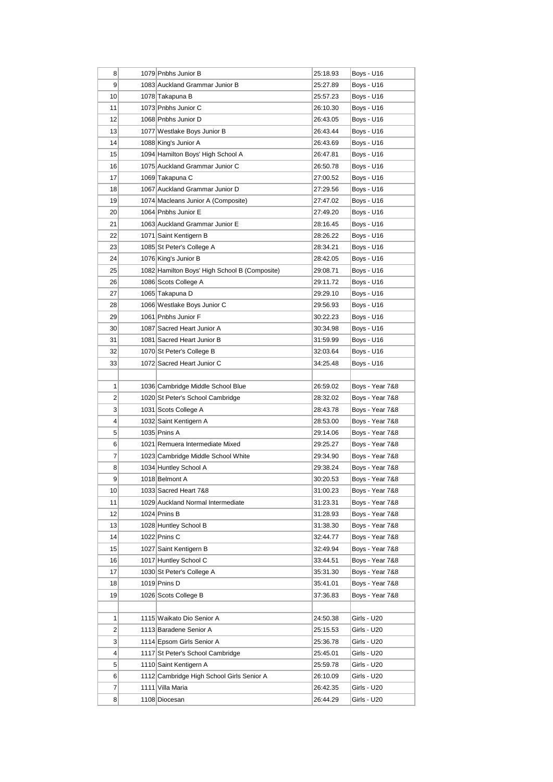| 8               | 1079 Pnbhs Junior B                           | 25:18.93 | Boys - U16      |
|-----------------|-----------------------------------------------|----------|-----------------|
| 9               | 1083 Auckland Grammar Junior B                | 25:27.89 | Boys - U16      |
| 10              | 1078 Takapuna B                               | 25:57.23 | Boys - U16      |
| 11              | 1073 Pnbhs Junior C                           | 26:10.30 | Boys - U16      |
| 12              | 1068 Pnbhs Junior D                           | 26:43.05 | Boys - U16      |
| 13              | 1077 Westlake Boys Junior B                   | 26:43.44 | Boys - U16      |
| 14              | 1088 King's Junior A                          | 26:43.69 | Boys - U16      |
| 15              | 1094 Hamilton Boys' High School A             | 26:47.81 | Boys - U16      |
| 16              | 1075 Auckland Grammar Junior C                | 26:50.78 | Boys - U16      |
| 17              | 1069 Takapuna C                               | 27:00.52 | Boys - U16      |
| 18              | 1067 Auckland Grammar Junior D                | 27:29.56 | Boys - U16      |
| 19              | 1074 Macleans Junior A (Composite)            | 27:47.02 | Boys - U16      |
| 20              | 1064 Pnbhs Junior E                           | 27:49.20 | Boys - U16      |
| 21              | 1063 Auckland Grammar Junior E                | 28:16.45 | Boys - U16      |
| 22              | 1071 Saint Kentigern B                        | 28:26.22 | Boys - U16      |
| 23              | 1085 St Peter's College A                     | 28:34.21 | Boys - U16      |
| 24              | 1076 King's Junior B                          | 28:42.05 | Boys - U16      |
| 25              | 1082 Hamilton Boys' High School B (Composite) | 29:08.71 | Boys - U16      |
| 26              | 1086 Scots College A                          | 29:11.72 | Boys - U16      |
| 27              | 1065 Takapuna D                               | 29:29.10 | Boys - U16      |
| 28              | 1066 Westlake Boys Junior C                   | 29:56.93 | Boys - U16      |
| 29              | 1061 Pnbhs Junior F                           | 30:22.23 | Boys - U16      |
| 30              | 1087 Sacred Heart Junior A                    | 30:34.98 | Boys - U16      |
| 31              | 1081 Sacred Heart Junior B                    | 31:59.99 | Boys - U16      |
| 32              | 1070 St Peter's College B                     | 32:03.64 | Boys - U16      |
| 33              | 1072 Sacred Heart Junior C                    | 34:25.48 | Boys - U16      |
|                 |                                               |          |                 |
| 1               | 1036 Cambridge Middle School Blue             | 26:59.02 | Boys - Year 7&8 |
| 2               | 1020 St Peter's School Cambridge              | 28:32.02 | Boys - Year 7&8 |
| 3               | 1031 Scots College A                          | 28:43.78 | Boys - Year 7&8 |
| 4               | 1032 Saint Kentigern A                        | 28:53.00 | Boys - Year 7&8 |
| 5               | 1035 Pnins A                                  | 29:14.06 | Boys - Year 7&8 |
| 6               | 1021 Remuera Intermediate Mixed               | 29:25.27 | Boys - Year 7&8 |
| 7               | 1023 Cambridge Middle School White            | 29:34.90 | Boys - Year 7&8 |
| 8               | 1034 Huntley School A                         | 29:38.24 | Boys - Year 7&8 |
| 9               | 1018 Belmont A                                | 30:20.53 | Boys - Year 7&8 |
| 10              | 1033 Sacred Heart 7&8                         | 31:00.23 | Boys - Year 7&8 |
| 11              | 1029 Auckland Normal Intermediate             | 31:23.31 | Boys - Year 7&8 |
| 12              | 1024 Pnins B                                  | 31:28.93 | Boys - Year 7&8 |
| 13              | 1028 Huntley School B                         | 31:38.30 | Boys - Year 7&8 |
| 14              | 1022 Pnins C                                  | 32:44.77 | Boys - Year 7&8 |
| 15              | 1027 Saint Kentigern B                        | 32:49.94 | Boys - Year 7&8 |
| 16              | 1017 Huntley School C                         | 33:44.51 | Boys - Year 7&8 |
| 17              | 1030 St Peter's College A                     | 35:31.30 | Boys - Year 7&8 |
| 18              | 1019 Pnins D                                  | 35:41.01 | Boys - Year 7&8 |
| 19              | 1026 Scots College B                          | 37:36.83 | Boys - Year 7&8 |
|                 |                                               |          |                 |
| 1               | 1115 Waikato Dio Senior A                     | 24:50.38 | Girls - U20     |
| 2               | 1113 Baradene Senior A                        | 25:15.53 | Girls - U20     |
| 3               | 1114 Epsom Girls Senior A                     | 25:36.78 | Girls - U20     |
| $\vert 4 \vert$ | 1117 St Peter's School Cambridge              | 25:45.01 | Girls - U20     |
| 5               | 1110 Saint Kentigern A                        | 25:59.78 | Girls - U20     |
| 6               | 1112 Cambridge High School Girls Senior A     | 26:10.09 | Girls - U20     |
| 7               | 1111 Villa Maria                              | 26:42.35 | Girls - U20     |
| 8               | 1108 Diocesan                                 | 26:44.29 | Girls - U20     |